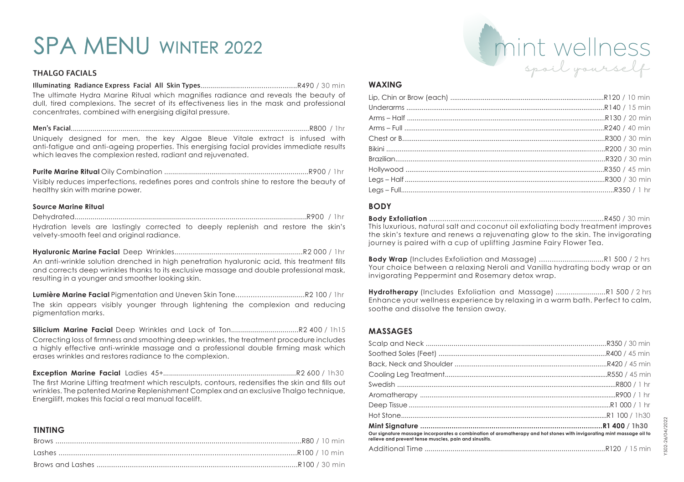# SPA MENU WINTER 2022

### **THALGO FACIALS**

#### **Illuminating Radiance Express Facial All Skin Types**...............................................R490 / 30 min

The ultimate Hydra Marine Ritual which magnifies radiance and reveals the beauty of dull, tired complexions. The secret of its effectiveness lies in the mask and professional concentrates, combined with energising digital pressure.

**Men's Facial**.........................................................................................................................R800 / 1hr Uniquely designed for men, the key Algae Bleue Vitale extract is infused with anti-fatigue and anti-ageing properties. This energising facial provides immediate results which leaves the complexion rested, radiant and rejuvenated.

**Purite Marine Ritual** Oily Combination .........................................................................R900 / 1hr Visibly reduces imperfections, redefines pores and controls shine to restore the beauty of healthy skin with marine power.

#### **Source Marine Ritual**

|  |  | Hydration levels are lastingly corrected to deeply replenish and restore the skin's |  |  |  |  |
|--|--|-------------------------------------------------------------------------------------|--|--|--|--|
|  |  | velvety-smooth feel and original radiance.                                          |  |  |  |  |

**Hyaluronic Marine Facial** Deep Wrinkles..................................................................R2 000 / 1hr An anti-wrinkle solution drenched in high penetration hyaluronic acid, this treatment fills and corrects deep wrinkles thanks to its exclusive massage and double professional mask, resulting in a younger and smoother looking skin.

**Lumière Marine Facial** Pigmentation and Uneven Skin Tone.................................R2 100 / 1hr The skin appears visibly younger through lightening the complexion and reducing pigmentation marks.

**Silicium Marine Facial** Deep Wrinkles and Lack of Ton..................................R2 400 / 1h15

Correcting loss of firmness and smoothing deep wrinkles, the treatment procedure includes a highly effective anti-wrinkle massage and a professional double firming mask which erases wrinkles and restores radiance to the complexion.

**Exception Marine Facial** Ladies 45+...................................................................R2 600 / 1h30

The first Marine Lifting treatment which resculpts, contours, redensifies the skin and fills out wrinkles. The patented Marine Replenishment Complex and an exclusive Thalgo technique, Energilift, makes this facial a real manual facelift.

## **TINTING**



#### **WAXING**

### **BODY**

**Body Exfoliation** .................................................................................R450 / 30 min This luxurious, natural salt and coconut oil exfoliating body treatment improves the skin's texture and renews a rejuvenating glow to the skin. The invigorating journey is paired with a cup of uplifting Jasmine Fairy Flower Tea.

**Body Wrap** (Includes Exfoliation and Massage) ...............................R1 500 / 2 hrs Your choice between a relaxing Neroli and Vanilla hydrating body wrap or an invigorating Peppermint and Rosemary detox wrap.

**Hydrotherapy** (Includes Exfoliation and Massage) ........................R1 500 / 2 hrs Enhance your wellness experience by relaxing in a warm bath. Perfect to calm, soothe and dissolve the tension away.

## **MASSAGES**

| Our signature massage incorporates a combination of aromatherapy and hot stones with invigorating mint massage oil to<br>relieve and prevent tense muscles, pain and sinusitis. |  |  |  |  |
|---------------------------------------------------------------------------------------------------------------------------------------------------------------------------------|--|--|--|--|
|                                                                                                                                                                                 |  |  |  |  |